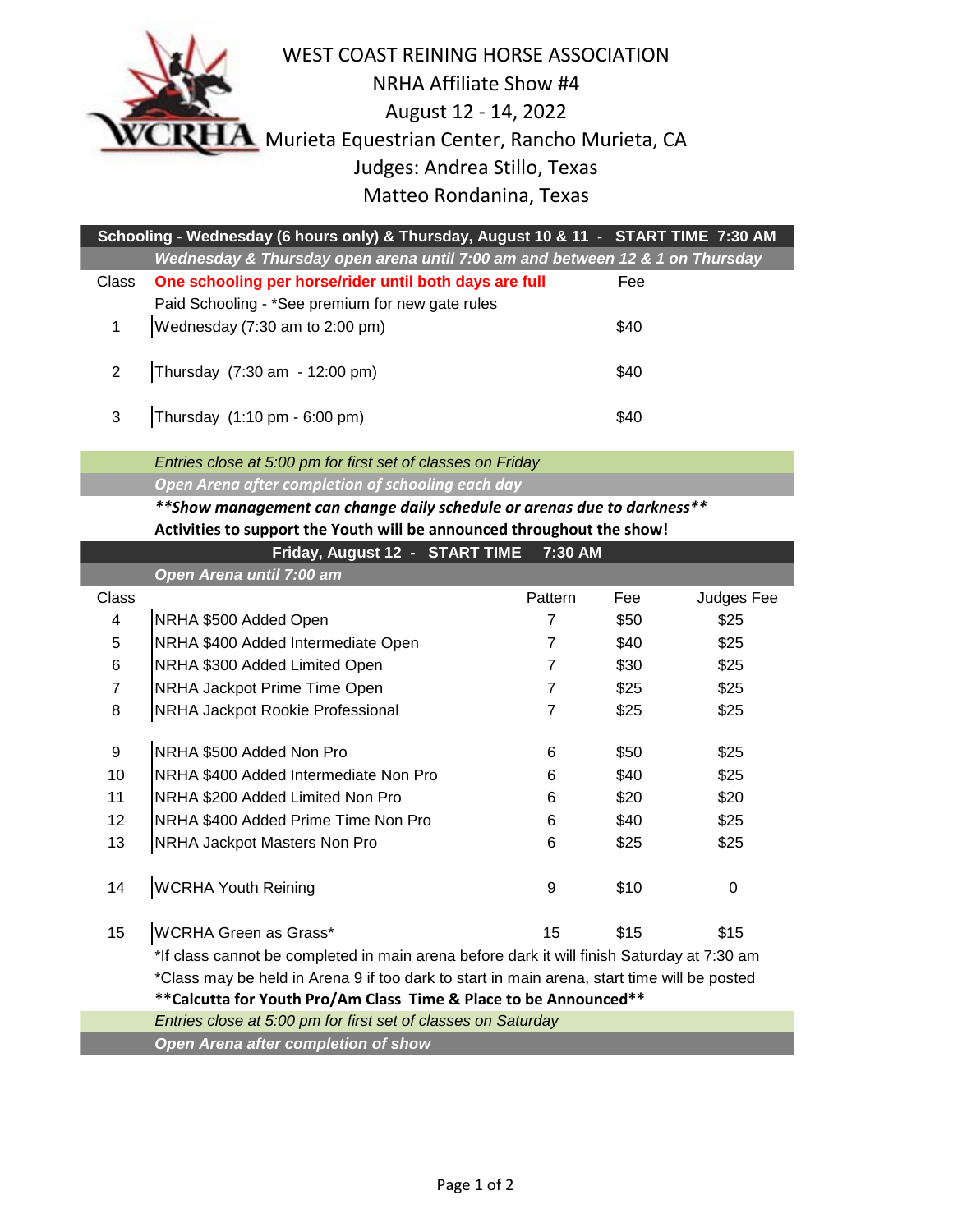

I

WEST COAST REINING HORSE ASSOCIATION NRHA Affiliate Show #4 August 12 - 14, 2022  $\bf{A}$  Murieta Equestrian Center, Rancho Murieta, CA Judges: Andrea Stillo, Texas Matteo Rondanina, Texas

| Schooling - Wednesday (6 hours only) & Thursday, August 10 & 11 - START TIME 7:30 AM |                                                                              |      |  |  |  |  |
|--------------------------------------------------------------------------------------|------------------------------------------------------------------------------|------|--|--|--|--|
|                                                                                      | Wednesday & Thursday open arena until 7:00 am and between 12 & 1 on Thursday |      |  |  |  |  |
| Class                                                                                | One schooling per horse/rider until both days are full                       | Fee  |  |  |  |  |
|                                                                                      | Paid Schooling - *See premium for new gate rules                             |      |  |  |  |  |
| 1                                                                                    | Wednesday (7:30 am to 2:00 pm)                                               | \$40 |  |  |  |  |
|                                                                                      |                                                                              |      |  |  |  |  |
|                                                                                      | 2   Thursday (7:30 am - 12:00 pm)                                            | \$40 |  |  |  |  |
|                                                                                      |                                                                              |      |  |  |  |  |
| $3^{\circ}$                                                                          | Thursday (1:10 pm - 6:00 pm)                                                 | \$40 |  |  |  |  |

*Entries close at 5:00 pm for first set of classes on Friday Open Arena after completion of schooling each day* 

## *\*\*Show management can change daily schedule or arenas due to darkness\*\** **Activities to support the Youth will be announced throughout the show!**

|                                                                  | Friday, August 12 - START TIME                                                              | 7:30 AM        |      |            |  |
|------------------------------------------------------------------|---------------------------------------------------------------------------------------------|----------------|------|------------|--|
|                                                                  | Open Arena until 7:00 am                                                                    |                |      |            |  |
| <b>Class</b>                                                     |                                                                                             | Pattern        | Fee  | Judges Fee |  |
| 4                                                                | NRHA \$500 Added Open                                                                       | 7              | \$50 | \$25       |  |
| 5                                                                | NRHA \$400 Added Intermediate Open                                                          | $\overline{7}$ | \$40 | \$25       |  |
| 6                                                                | NRHA \$300 Added Limited Open                                                               | $\overline{7}$ | \$30 | \$25       |  |
| $\overline{7}$                                                   | NRHA Jackpot Prime Time Open                                                                | $\overline{7}$ | \$25 | \$25       |  |
| 8                                                                | NRHA Jackpot Rookie Professional                                                            | $\overline{7}$ | \$25 | \$25       |  |
| 9                                                                | NRHA \$500 Added Non Pro                                                                    | 6              | \$50 | \$25       |  |
| 10                                                               | NRHA \$400 Added Intermediate Non Pro                                                       | 6              | \$40 | \$25       |  |
| 11                                                               | NRHA \$200 Added Limited Non Pro                                                            | 6              | \$20 | \$20       |  |
| 12                                                               | NRHA \$400 Added Prime Time Non Pro                                                         | 6              | \$40 | \$25       |  |
| 13                                                               | NRHA Jackpot Masters Non Pro                                                                | 6              | \$25 | \$25       |  |
| 14                                                               | <b>WCRHA Youth Reining</b>                                                                  | 9              | \$10 | 0          |  |
| 15 <sub>15</sub>                                                 | <b>WCRHA Green as Grass*</b>                                                                | 15             | \$15 | \$15       |  |
|                                                                  | *If class cannot be completed in main arena before dark it will finish Saturday at 7:30 am  |                |      |            |  |
|                                                                  | *Class may be held in Arena 9 if too dark to start in main arena, start time will be posted |                |      |            |  |
| **Calcutta for Youth Pro/Am Class Time & Place to be Announced** |                                                                                             |                |      |            |  |
|                                                                  | Entries close at 5:00 pm for first set of classes on Saturday                               |                |      |            |  |
|                                                                  | Open Arena after completion of show                                                         |                |      |            |  |